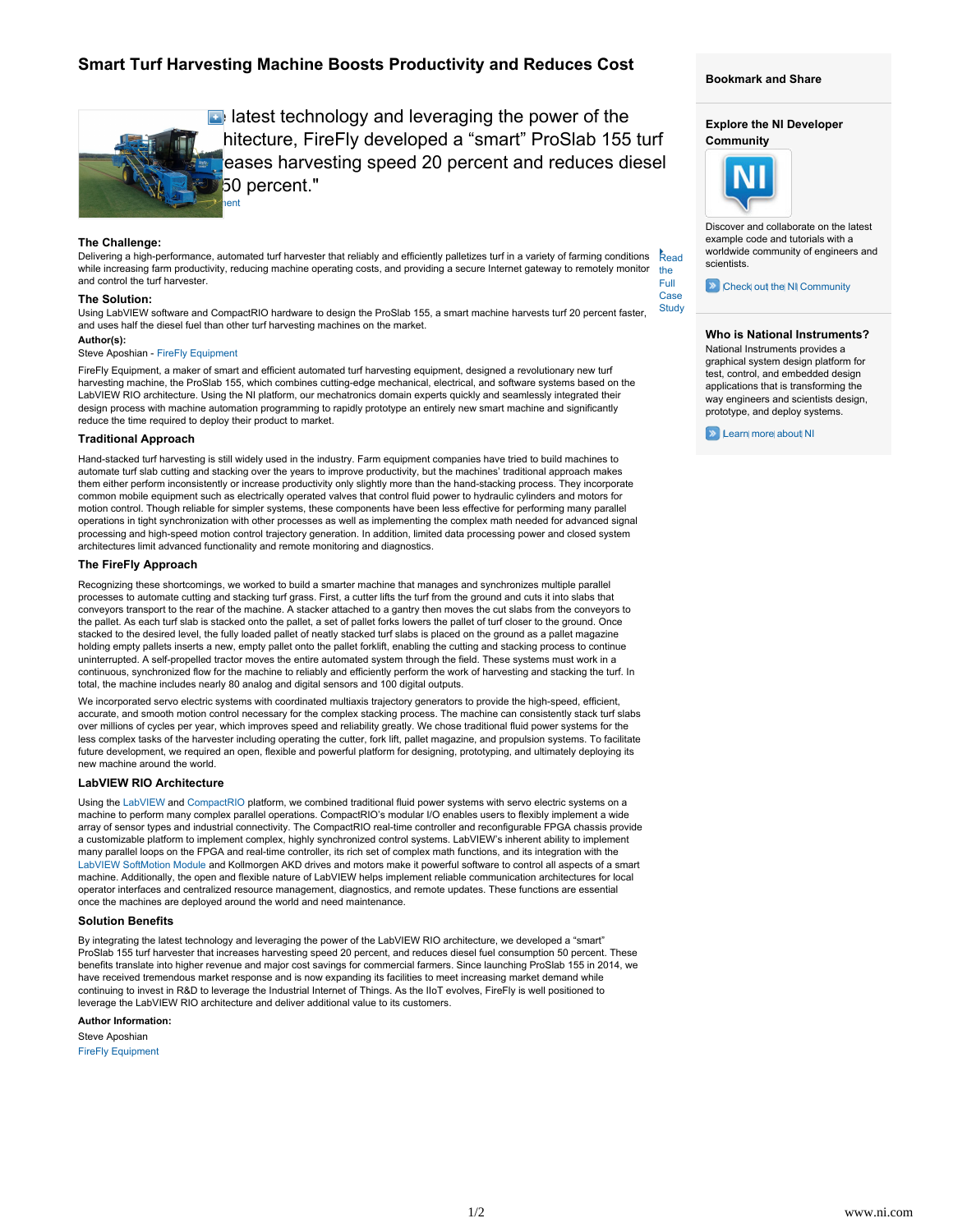# **Smart Turf Harvesting Machine Boosts Productivity and Reduces Cost**



 $\blacksquare$  latest technology and leveraging the power of the hitecture, FireFly developed a "smart" ProSlab 155 turf eases harvesting speed 20 percent and reduces diesel 50 percent."

## **The Challenge:**

Read the Full Delivering a high-performance, automated turf harvester that reliably and efficiently palletizes turf in a variety of farming conditions while increasing farm productivity, reducing machine operating costs, and providing a secure Internet gateway to remotely monitor and control the turf harvester.

#### **The Solution:**

**Study** Using LabVIEW software and CompactRIO hardware to design the ProSlab 155, a smart machine harvests turf 20 percent faster, and uses half the diesel fuel than other turf harvesting machines on the market.

# **Author(s):**

## Steve Aposhian - [FireFly Equipment](http://fireflyequipment.com/)

FireFly Equipment, a maker of smart and efficient automated turf harvesting equipment, designed a revolutionary new turf harvesting machine, the ProSlab 155, which combines cutting-edge mechanical, electrical, and software systems based on the LabVIEW RIO architecture. Using the NI platform, our mechatronics domain experts quickly and seamlessly integrated their design process with machine automation programming to rapidly prototype an entirely new smart machine and significantly reduce the time required to deploy their product to market.

#### **Traditional Approach**

Hand-stacked turf harvesting is still widely used in the industry. Farm equipment companies have tried to build machines to automate turf slab cutting and stacking over the years to improve productivity, but the machines' traditional approach makes them either perform inconsistently or increase productivity only slightly more than the hand-stacking process. They incorporate common mobile equipment such as electrically operated valves that control fluid power to hydraulic cylinders and motors for motion control. Though reliable for simpler systems, these components have been less effective for performing many parallel operations in tight synchronization with other processes as well as implementing the complex math needed for advanced signal processing and high-speed motion control trajectory generation. In addition, limited data processing power and closed system architectures limit advanced functionality and remote monitoring and diagnostics.

## **The FireFly Approach**

Recognizing these shortcomings, we worked to build a smarter machine that manages and synchronizes multiple parallel processes to automate cutting and stacking turf grass. First, a cutter lifts the turf from the ground and cuts it into slabs that conveyors transport to the rear of the machine. A stacker attached to a gantry then moves the cut slabs from the conveyors to the pallet. As each turf slab is stacked onto the pallet, a set of pallet forks lowers the pallet of turf closer to the ground. Once stacked to the desired level, the fully loaded pallet of neatly stacked turf slabs is placed on the ground as a pallet magazine holding empty pallets inserts a new, empty pallet onto the pallet forklift, enabling the cutting and stacking process to continue uninterrupted. A self-propelled tractor moves the entire automated system through the field. These systems must work in a continuous, synchronized flow for the machine to reliably and efficiently perform the work of harvesting and stacking the turf. In total, the machine includes nearly 80 analog and digital sensors and 100 digital outputs.

We incorporated servo electric systems with coordinated multiaxis trajectory generators to provide the high-speed, efficient, accurate, and smooth motion control necessary for the complex stacking process. The machine can consistently stack turf slabs over millions of cycles per year, which improves speed and reliability greatly. We chose traditional fluid power systems for the less complex tasks of the harvester including operating the cutter, fork lift, pallet magazine, and propulsion systems. To facilitate future development, we required an open, flexible and powerful platform for designing, prototyping, and ultimately deploying its new machine around the world.

# **LabVIEW RIO Architecture**

Using the [LabVIEW](http://www.ni.com/labview/) and [CompactRIO](http://www.ni.com/compactrio/) platform, we combined traditional fluid power systems with servo electric systems on a machine to perform many complex parallel operations. CompactRIO's modular I/O enables users to flexibly implement a wide array of sensor types and industrial connectivity. The CompactRIO real-time controller and reconfigurable FPGA chassis provide a customizable platform to implement complex, highly synchronized control systems. LabVIEW's inherent ability to implement many parallel loops on the FPGA and real-time controller, its rich set of complex math functions, and its integration with the [LabVIEW SoftMotion Module](http://sine.ni.com/nips/cds/view/p/lang/en/nid/14234) and Kollmorgen AKD drives and motors make it powerful software to control all aspects of a smart machine. Additionally, the open and flexible nature of LabVIEW helps implement reliable communication architectures for local operator interfaces and centralized resource management, diagnostics, and remote updates. These functions are essential once the machines are deployed around the world and need maintenance.

#### **Solution Benefits**

By integrating the latest technology and leveraging the power of the LabVIEW RIO architecture, we developed a "smart" ProSlab 155 turf harvester that increases harvesting speed 20 percent, and reduces diesel fuel consumption 50 percent. These benefits translate into higher revenue and major cost savings for commercial farmers. Since launching ProSlab 155 in 2014, we have received tremendous market response and is now expanding its facilities to meet increasing market demand while continuing to invest in R&D to leverage the Industrial Internet of Things. As the IIoT evolves, FireFly is well positioned to leverage the LabVIEW RIO architecture and deliver additional value to its customers.

#### **Author Information:**

Steve Aposhian [FireFly Equipment](http://fireflyequipment.com/) 

#### **Bookmark and Share**

# **Explore the NI Developer Community**



Case

Discover and collaborate on the latest example code and tutorials with a worldwide community of engineers and scientists.

**EXADELEVIT COMMUNITY** 

# **Who is National Instruments?**

National Instruments provides a graphical system design platform for test, control, and embedded design applications that is transforming the way engineers and scientists design, prototype, and deploy systems.

**D** [Learn more about NI](http://www.ni.com/company/standardize.htm)